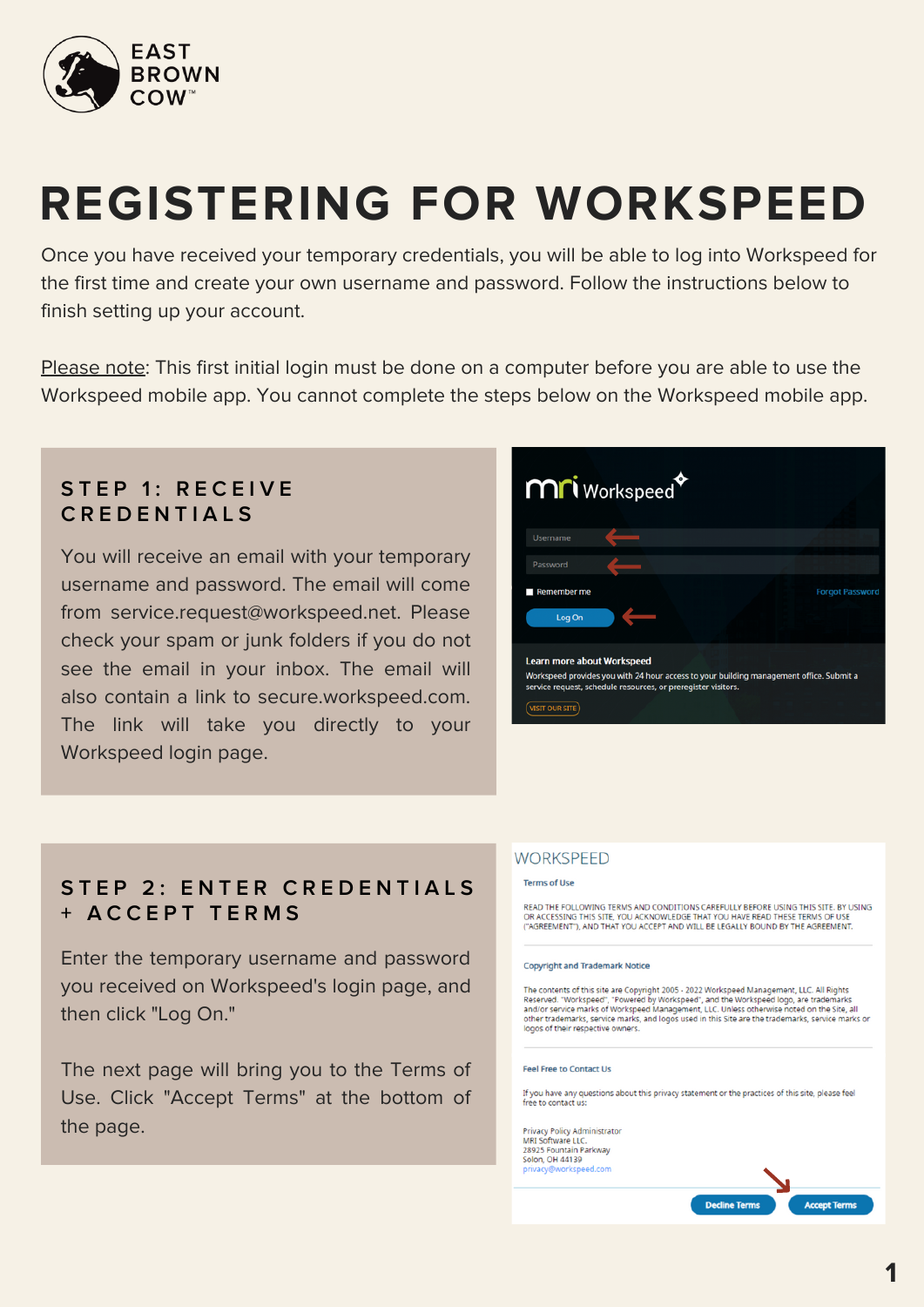

# **REGISTERING FOR WORKSPEED**

Once you have received your temporary credentials, you will be able to log into Workspeed for the first time and create your own username and password. Follow the instructions below to finish setting up your account.

Please note: This first initial login must be done on a computer before you are able to use the Workspeed mobile app. You cannot complete the steps below on the Workspeed mobile app.

# **S T E P 1 : R E C E I V E C R E D E N T I A L S**

You will receive an email with your temporary username and password. The email will come from service.request@workspeed.net. Please check your spam or junk folders if you do not see the email in your inbox. The email will also contain a link to secure.workspeed.com. The link will take you directly to your Workspeed login page.



# **S T E P 2 : E N T E R C R E D E N T I A L S + A C C E P T T E R M S**

Enter the temporary username and password you received on Workspeed's login page, and then click "Log On."

The next page will bring you to the Terms of Use. Click "Accept Terms" at the bottom of the page.

### **WORKSPEED**

#### Terms of Use

READ THE FOLLOWING TERMS AND CONDITIONS CAREFULLY BEFORE USING THIS SITE. BY USING<br>OR ACCESSING THIS SITE, YOU ACKNOWLEDGE THAT YOU HAVE READ THESE TERMS OF USE<br>("AGREEMENT"), AND THAT YOU ACCEPT AND WILL BE LEGALLY BOUND

#### **Copyright and Trademark Notice**

The contents of this site are Copyright 2005 - 2022 Workspeed Management, LLC. All Rights Reserved. "Workspeed", "Powered by Workspeed", and the Workspeed logo, are trademarks<br>and/or service marks of Workspeed Management, LLC. Unless otherwise noted on the Site, all<br>and the trademarks, service marks, and logos

#### **Feel Free to Contact Us**

If you have any questions about this privacy statement or the practices of this site, please feel<br>free to contact us:

**Privacy Policy Administrator** MRI Software LLC.<br>28925 Fountain Parkway<br>Solon, OH 44139

> **Decline Terr Accept Terms**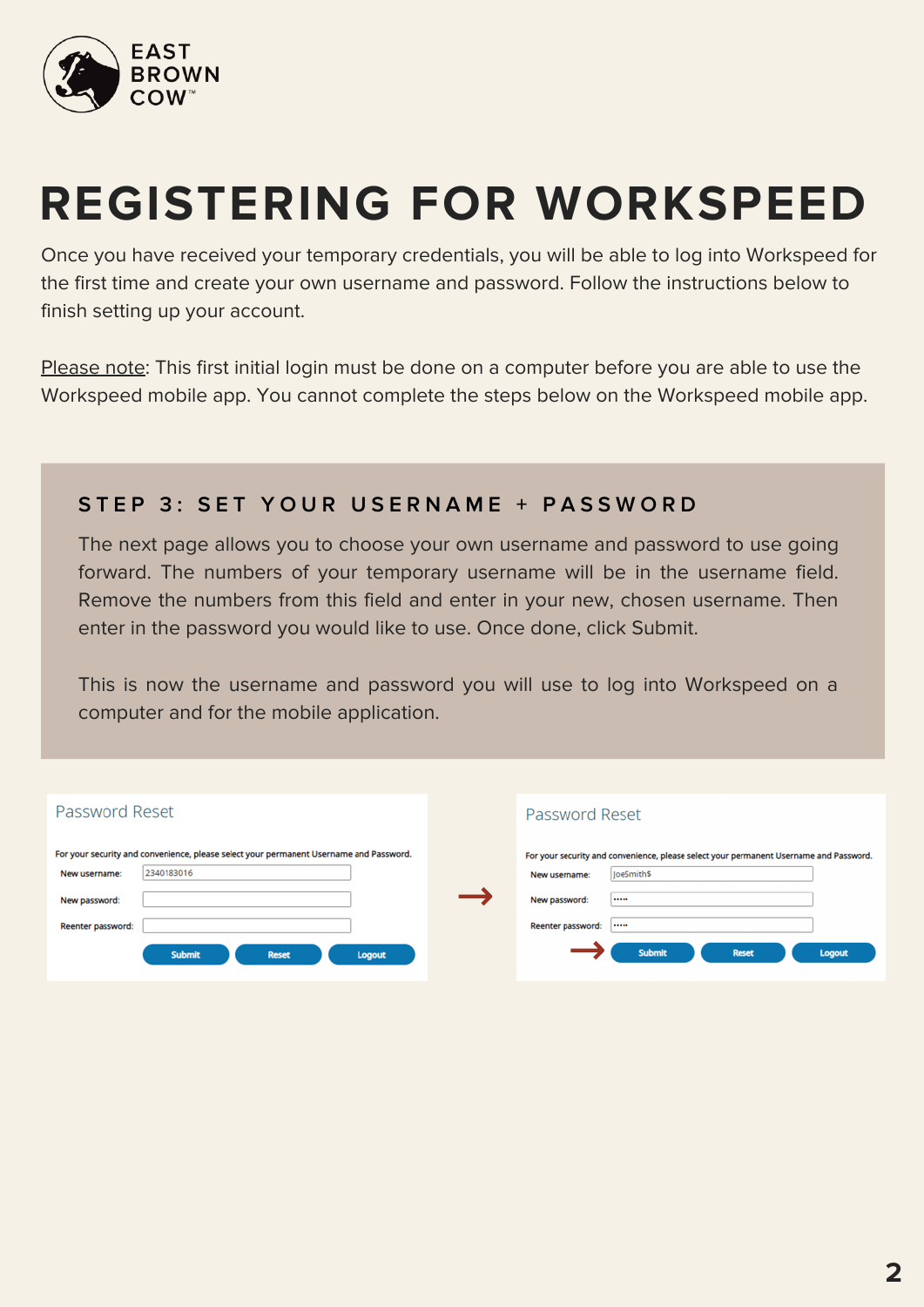

# **REGISTERING FOR WORKSPEED**

Once you have received your temporary credentials, you will be able to log into Workspeed for the first time and create your own username and password. Follow the instructions below to finish setting up your account.

Please note: This first initial login must be done on a computer before you are able to use the Workspeed mobile app. You cannot complete the steps below on the Workspeed mobile app.

### STEP 3: SET YOUR USERNAME + PASSWORD

The next page allows you to choose your own username and password to use going forward. The numbers of your temporary username will be in the username field. Remove the numbers from this field and enter in your new, chosen username. Then enter in the password you would like to use. Once done, click Submit.

This is now the username and password you will use to log into Workspeed on a computer and for the mobile application.

| Password Reset                                                                         | Password Reset                                                                         |
|----------------------------------------------------------------------------------------|----------------------------------------------------------------------------------------|
| For your security and convenience, please select your permanent Username and Password. | For your security and convenience, please select your permanent Username and Password. |
| 2340183016<br>New username:                                                            | JoeSmith\$<br>New username:                                                            |
| New password:                                                                          | New password:<br>                                                                      |
| Reenter password:                                                                      | Reenter password:<br>                                                                  |
| <b>Submit</b><br><b>Reset</b><br><b>Logout</b>                                         | <b>Submit</b><br><b>Reset</b><br><b>Logout</b>                                         |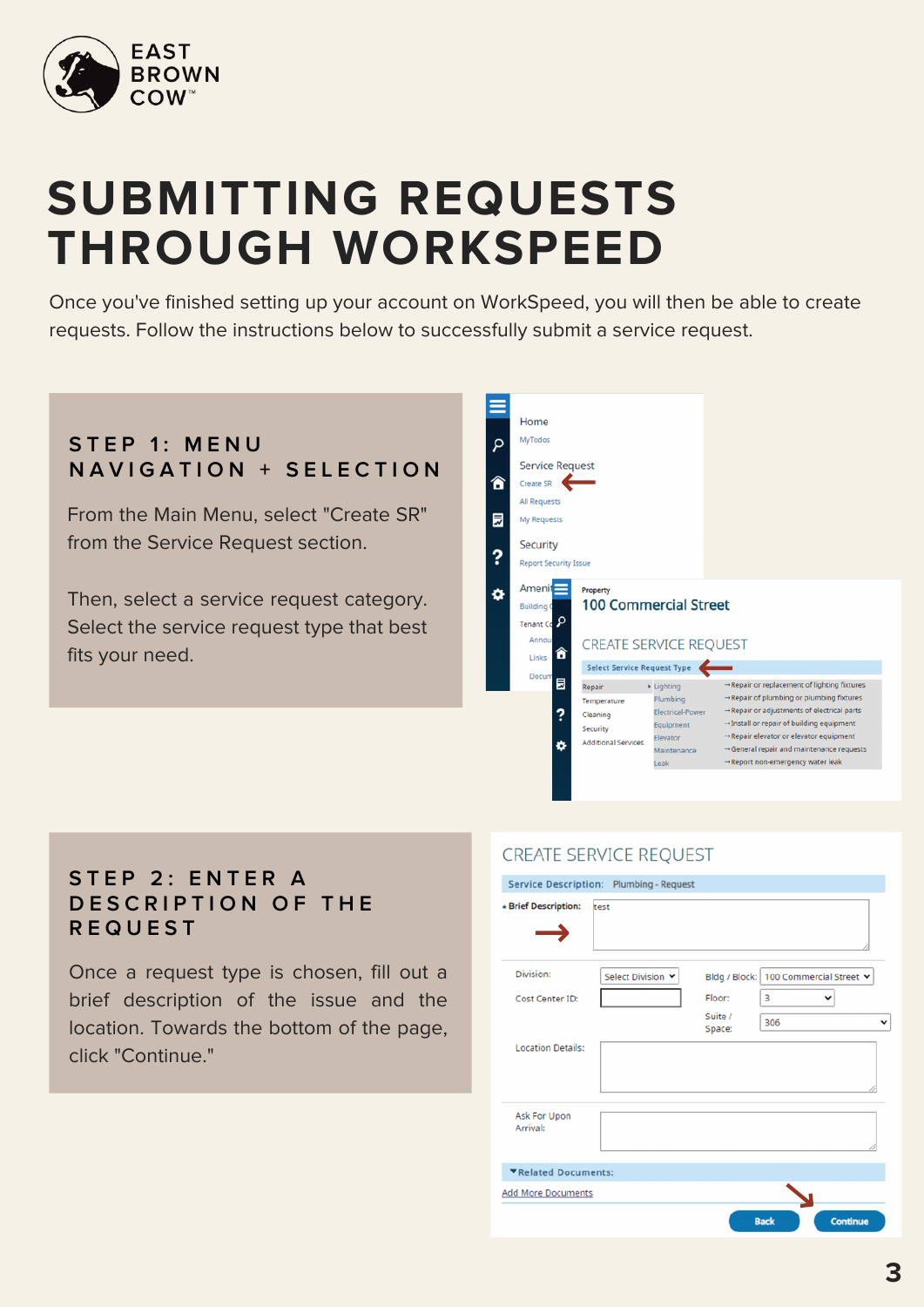

# **SUBMITTING REQUESTS THROUGH WORKSPEED**

Once you've finished setting up your account on WorkSpeed, you will then be able to create requests. Follow the instructions below to successfully submit a service request.

# **S T E P 1 : M E N U N A V I G A T I O N + S E L E C T I O N**

From the Main Menu, select "Create SR" from the Service Request section.

Then, select a service request category. Select the service request type that best fits your need.

| R | Home<br>MyTodos                                                                                                                                                                          |                                                                             |                                                                                                 |                                                                                                                                                                                                                                                                                                                  |
|---|------------------------------------------------------------------------------------------------------------------------------------------------------------------------------------------|-----------------------------------------------------------------------------|-------------------------------------------------------------------------------------------------|------------------------------------------------------------------------------------------------------------------------------------------------------------------------------------------------------------------------------------------------------------------------------------------------------------------|
| ⋒ | <b>Service Request</b><br>Create SR<br>All Requests                                                                                                                                      |                                                                             |                                                                                                 |                                                                                                                                                                                                                                                                                                                  |
| 最 | My Requests                                                                                                                                                                              |                                                                             |                                                                                                 |                                                                                                                                                                                                                                                                                                                  |
|   | Security<br><b>Report Security Issue</b>                                                                                                                                                 |                                                                             |                                                                                                 |                                                                                                                                                                                                                                                                                                                  |
| Ð | Ameni<br>Property<br><b>100 Commercial Street</b><br><b>Building 0</b><br><b>Tenant Co</b><br>Annou<br><b>CREATE SERVICE REQUEST</b><br>n<br>Links<br><b>Select Service Request Type</b> |                                                                             |                                                                                                 |                                                                                                                                                                                                                                                                                                                  |
|   |                                                                                                                                                                                          |                                                                             |                                                                                                 |                                                                                                                                                                                                                                                                                                                  |
|   | Docum<br>員<br>?<br>۰                                                                                                                                                                     | Repair<br>Temperature<br>Cleaning<br>Security<br><b>Additional Services</b> | Lighting<br>Plumbing<br><b>Electrical-Power</b><br>Equipment<br>Elevator<br>Maintenance<br>Leak | → Repair or replacement of lighting fixtures<br>→ Repair of plumbing or plumbing fixtures<br>→ Repair or adjustments of electrical parts<br>-Install or repair of building equipment<br>-Repair elevator or elevator equipment<br>→ General repair and maintenance requests<br>→ Report non-emergency water leak |
|   |                                                                                                                                                                                          |                                                                             |                                                                                                 |                                                                                                                                                                                                                                                                                                                  |

# **S T E P 2 : E N T E R A D E S C R I P T I O N O F T H E R E Q U E S T**

Once a request type is chosen, fill out a brief description of the issue and the location. Towards the bottom of the page, click "Continue."

### **CREATE SERVICE REQUEST**

| * Brief Description:      | Service Description: Plumbing - Request<br>test |                   |                                         |
|---------------------------|-------------------------------------------------|-------------------|-----------------------------------------|
| Division:                 |                                                 |                   |                                         |
|                           | Select Division Y                               |                   | Bldg / Block:   100 Commercial Street v |
| Cost Center ID:           |                                                 | Floor:            | 3                                       |
|                           |                                                 | Suite /<br>Space: | 306                                     |
| <b>Location Details:</b>  |                                                 |                   |                                         |
| Ask For Upon<br>Arrival:  |                                                 |                   |                                         |
| ▼Related Documents:       |                                                 |                   |                                         |
| <b>Add More Documents</b> |                                                 |                   |                                         |
|                           |                                                 |                   | <b>Continue</b><br><b>Back</b>          |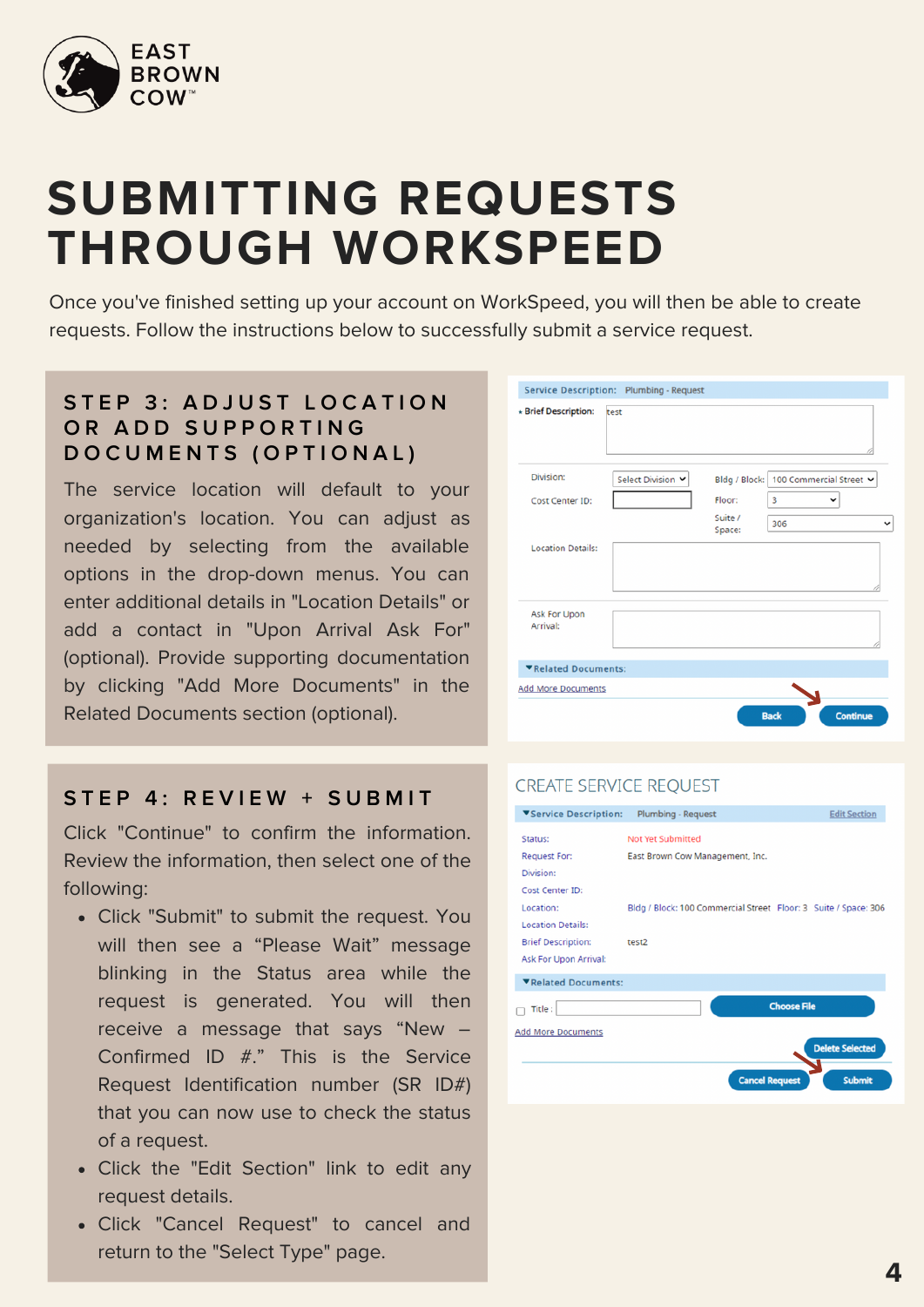

# **SUBMITTING REQUESTS THROUGH WORKSPEED**

Once you've finished setting up your account on WorkSpeed, you will then be able to create requests. Follow the instructions below to successfully submit a service request.

### **S T E P 3 : A D J U S T L O C A T I O N O R A D D S U P P O R T I N G D O C U M E N T S ( O P T I O N A L )**

The service location will default to your organization's location. You can adjust as needed by selecting from the available options in the drop-down menus. You can enter additional details in "Location Details" or add a contact in "Upon Arrival Ask For" (optional). Provide supporting documentation by clicking "Add More Documents" in the Related Documents section (optional).

### **S T E P 4 : R E V I E W + S U B M I T**

Click "Continue" to confirm the information. Review the information, then select one of the following:

- Click "Submit" to submit the request. You will then see a "Please Wait" message blinking in the Status area while the request is generated. You will then receive a message that says "New – Confirmed ID #." This is the Service Request Identification number (SR ID#) that you can now use to check the status of a request.
- Click the "Edit Section" link to edit any request details.
- Click "Cancel Request" to cancel and return to the "Select Type" page.

| * Brief Description:            | test              |                   |                                         |  |
|---------------------------------|-------------------|-------------------|-----------------------------------------|--|
| Division:                       | Select Division Y |                   | Bldg / Block:   100 Commercial Street v |  |
| Cost Center ID:                 |                   | Floor:            | 3<br>$\check{ }$                        |  |
|                                 |                   | Suite /<br>Space: | 306                                     |  |
| <b>Location Details:</b>        |                   |                   |                                         |  |
|                                 |                   |                   |                                         |  |
| <b>Ask For Upon</b><br>Arrival: |                   |                   |                                         |  |
| ▼Related Documents:             |                   |                   |                                         |  |

### **CREATE SERVICE REQUEST**

| ▼Service Description:     | <b>Plumbing - Request</b>                                       | <b>Edit Section</b>                    |
|---------------------------|-----------------------------------------------------------------|----------------------------------------|
| Status:                   | <b>Not Yet Submitted</b>                                        |                                        |
| Request For:              | East Brown Cow Management, Inc.                                 |                                        |
| Division:                 |                                                                 |                                        |
| <b>Cost Center ID:</b>    |                                                                 |                                        |
| Location:                 | Bldg / Block: 100 Commercial Street Floor: 3 Suite / Space: 306 |                                        |
| <b>Location Details:</b>  |                                                                 |                                        |
| <b>Brief Description:</b> | test2                                                           |                                        |
| Ask For Upon Arrival:     |                                                                 |                                        |
| ▼Related Documents:       |                                                                 |                                        |
| Title :                   |                                                                 | <b>Choose File</b>                     |
| <b>Add More Documents</b> |                                                                 |                                        |
|                           |                                                                 | <b>Delete Selected</b>                 |
|                           |                                                                 |                                        |
|                           |                                                                 | <b>Cancel Request</b><br><b>Submit</b> |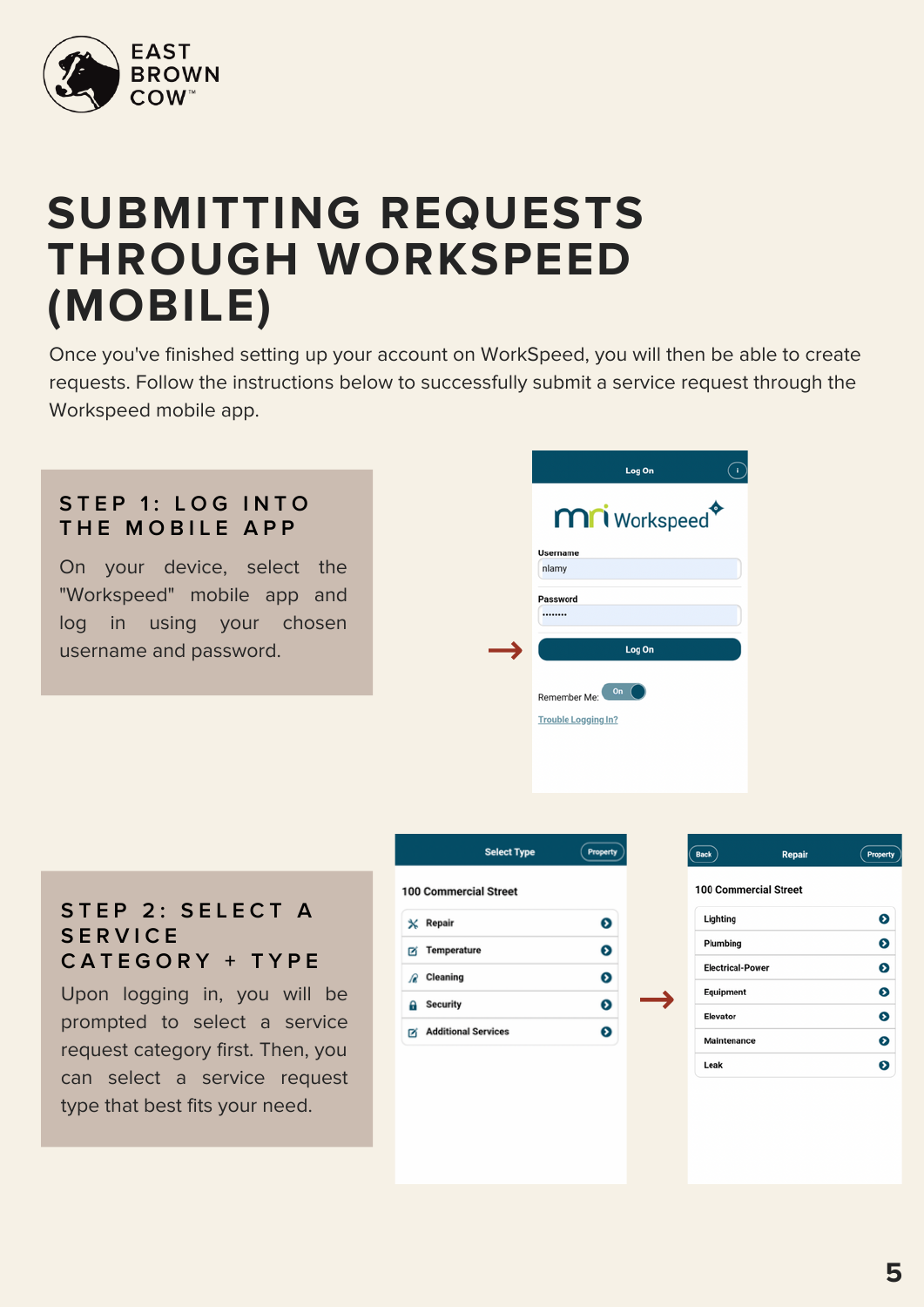

# **SUBMITTING REQUESTS THROUGH WORKSPEED (MOBILE)**

Once you've finished setting up your account on WorkSpeed, you will then be able to create requests. Follow the instructions below to successfully submit a service request through the Workspeed mobile app.

# **S T E P 1 : L O G I N T O T H E M O B I L E A P P**

On your device, select the "Workspeed" mobile app and log in using your chosen username and password.

| Log On                     |  |
|----------------------------|--|
| mri Workspeed <sup>+</sup> |  |
| <b>Username</b>            |  |
| nlamy                      |  |
| Password                   |  |
|                            |  |
| Log On                     |  |
| On<br>Remember Me:         |  |
| <b>Trouble Logging In?</b> |  |
|                            |  |
|                            |  |

### **S T E P 2 : S E L E C T A S E R V I C E C A T E G O R Y + T Y P E**

Upon logging in, you will be prompted to select a service request category first. Then, you can select a service request type that best fits your need.



|                         | <b>100 Commercial Street</b> |   |
|-------------------------|------------------------------|---|
| Lighting                |                              | ๏ |
| Plumbing                |                              | ๏ |
| <b>Electrical-Power</b> |                              | Ø |
| Equipment               |                              | Ø |
| Elevator                |                              | ๏ |
| Maintenance             |                              | ဓ |
| $1 - 1$                 |                              | ົ |